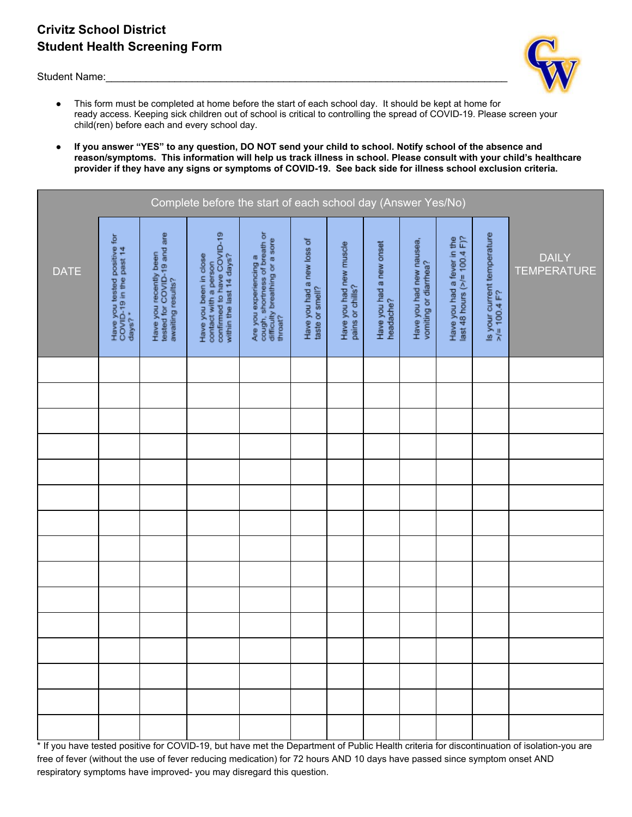# **Crivitz School District Student Health Screening Form**

Student Name:



- This form must be completed at home before the start of each school day. It should be kept at home for ready access. Keeping sick children out of school is critical to controlling the spread of COVID-19. Please screen your child(ren) before each and every school day.
- **If you answer "YES" to any question, DO NOT send your child to school. Notify school of the absence and reason/symptoms. This information will help us track illness in school. Please consult with your child's healthcare provider if they have any signs or symptoms of COVID-19. See back side for illness school exclusion criteria.**

| Complete before the start of each school day (Answer Yes/No) |                                                                    |                                                                            |                                                                                                           |                                                                                                      |                                               |                                             |                                       |                                                   |                                                             |                                                |                                    |
|--------------------------------------------------------------|--------------------------------------------------------------------|----------------------------------------------------------------------------|-----------------------------------------------------------------------------------------------------------|------------------------------------------------------------------------------------------------------|-----------------------------------------------|---------------------------------------------|---------------------------------------|---------------------------------------------------|-------------------------------------------------------------|------------------------------------------------|------------------------------------|
| <b>DATE</b>                                                  | Have you tested positive for<br>COVID-19 in the past 14<br>days? * | Have you recently been<br>tested for COVID-19 and are<br>awaiting results? | contact with a person<br>confirmed to have COVID-19<br>within the last 14 days?<br>Have you been in close | cough, shortness of breath or<br>difficulty breathing or a sore<br>Are you experiencing a<br>throat? | Have you had a new loss of<br>taste or smell? | Have you had new muscle<br>pains or chills? | Have you had a new onset<br>headache? | Have you had new nausea,<br>vomiting or diarrhea? | last 48 hours (>/= 100.4 F)?<br>Have you had a fever in the | Is your current temperature<br>$>$ /= 100.4 F? | <b>DAILY</b><br><b>TEMPERATURE</b> |
|                                                              |                                                                    |                                                                            |                                                                                                           |                                                                                                      |                                               |                                             |                                       |                                                   |                                                             |                                                |                                    |
|                                                              |                                                                    |                                                                            |                                                                                                           |                                                                                                      |                                               |                                             |                                       |                                                   |                                                             |                                                |                                    |
|                                                              |                                                                    |                                                                            |                                                                                                           |                                                                                                      |                                               |                                             |                                       |                                                   |                                                             |                                                |                                    |
|                                                              |                                                                    |                                                                            |                                                                                                           |                                                                                                      |                                               |                                             |                                       |                                                   |                                                             |                                                |                                    |
|                                                              |                                                                    |                                                                            |                                                                                                           |                                                                                                      |                                               |                                             |                                       |                                                   |                                                             |                                                |                                    |
|                                                              |                                                                    |                                                                            |                                                                                                           |                                                                                                      |                                               |                                             |                                       |                                                   |                                                             |                                                |                                    |
|                                                              |                                                                    |                                                                            |                                                                                                           |                                                                                                      |                                               |                                             |                                       |                                                   |                                                             |                                                |                                    |
|                                                              |                                                                    |                                                                            |                                                                                                           |                                                                                                      |                                               |                                             |                                       |                                                   |                                                             |                                                |                                    |
|                                                              |                                                                    |                                                                            |                                                                                                           |                                                                                                      |                                               |                                             |                                       |                                                   |                                                             |                                                |                                    |
|                                                              |                                                                    |                                                                            |                                                                                                           |                                                                                                      |                                               |                                             |                                       |                                                   |                                                             |                                                |                                    |
|                                                              |                                                                    |                                                                            |                                                                                                           |                                                                                                      |                                               |                                             |                                       |                                                   |                                                             |                                                |                                    |
|                                                              |                                                                    |                                                                            |                                                                                                           |                                                                                                      |                                               |                                             |                                       |                                                   |                                                             |                                                |                                    |
|                                                              |                                                                    |                                                                            |                                                                                                           |                                                                                                      |                                               |                                             |                                       |                                                   |                                                             |                                                |                                    |
|                                                              |                                                                    |                                                                            |                                                                                                           |                                                                                                      |                                               |                                             |                                       |                                                   |                                                             |                                                |                                    |
|                                                              |                                                                    |                                                                            |                                                                                                           |                                                                                                      |                                               |                                             |                                       |                                                   |                                                             |                                                |                                    |

\* If you have tested positive for COVID-19, but have met the Department of Public Health criteria for discontinuation of isolation-you are free of fever (without the use of fever reducing medication) for 72 hours AND 10 days have passed since symptom onset AND respiratory symptoms have improved- you may disregard this question.